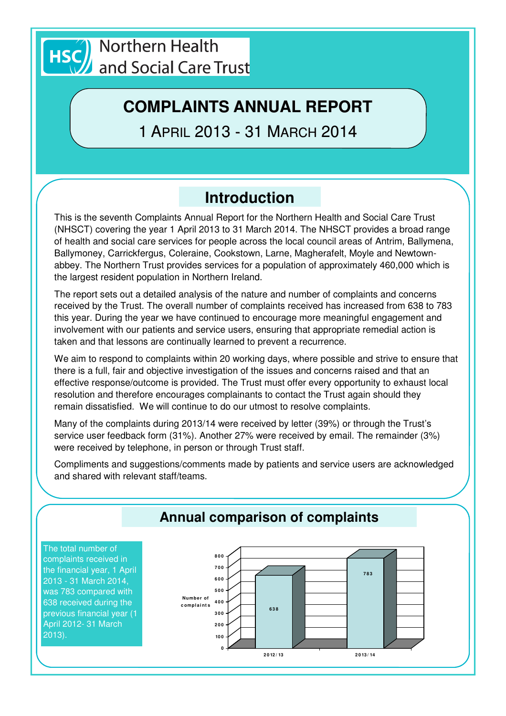

# **COMPLAINTS ANNUAL REPORT**

1 APRIL 2013 - 31 MARCH 2014

# **Introduction**

This is the seventh Complaints Annual Report for the Northern Health and Social Care Trust (NHSCT) covering the year 1 April 2013 to 31 March 2014. The NHSCT provides a broad range of health and social care services for people across the local council areas of Antrim, Ballymena, Ballymoney, Carrickfergus, Coleraine, Cookstown, Larne, Magherafelt, Moyle and Newtownabbey. The Northern Trust provides services for a population of approximately 460,000 which is the largest resident population in Northern Ireland.

The report sets out a detailed analysis of the nature and number of complaints and concerns received by the Trust. The overall number of complaints received has increased from 638 to 783 this year. During the year we have continued to encourage more meaningful engagement and involvement with our patients and service users, ensuring that appropriate remedial action is taken and that lessons are continually learned to prevent a recurrence.

We aim to respond to complaints within 20 working days, where possible and strive to ensure that there is a full, fair and objective investigation of the issues and concerns raised and that an effective response/outcome is provided. The Trust must offer every opportunity to exhaust local resolution and therefore encourages complainants to contact the Trust again should they remain dissatisfied. We will continue to do our utmost to resolve complaints.

Many of the complaints during 2013/14 were received by letter (39%) or through the Trust's service user feedback form (31%). Another 27% were received by email. The remainder (3%) were received by telephone, in person or through Trust staff.

Compliments and suggestions/comments made by patients and service users are acknowledged and shared with relevant staff/teams.

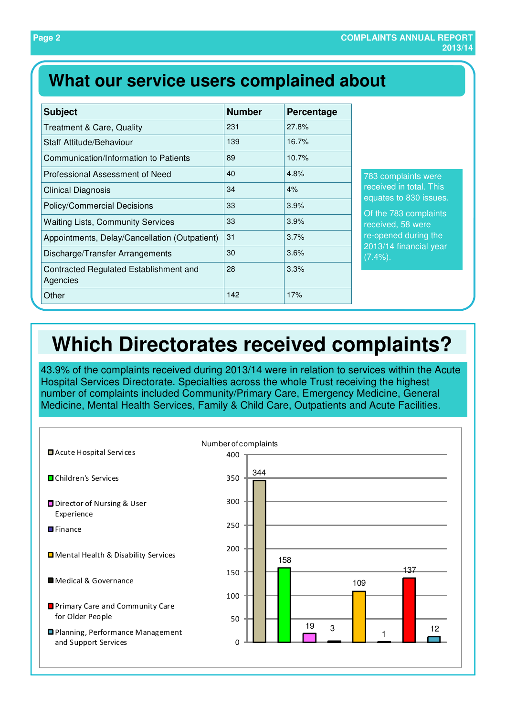## **What our service users complained about**

| <b>Subject</b>                                     | <b>Number</b> | Percentage |
|----------------------------------------------------|---------------|------------|
| <b>Treatment &amp; Care, Quality</b>               | 231           | 27.8%      |
| Staff Attitude/Behaviour                           | 139           | 16.7%      |
| Communication/Information to Patients              | 89            | 10.7%      |
| Professional Assessment of Need                    | 40            | 4.8%       |
| <b>Clinical Diagnosis</b>                          | 34            | 4%         |
| <b>Policy/Commercial Decisions</b>                 | 33            | 3.9%       |
| <b>Waiting Lists, Community Services</b>           | 33            | 3.9%       |
| Appointments, Delay/Cancellation (Outpatient)      | 31            | 3.7%       |
| Discharge/Transfer Arrangements                    | 30            | 3.6%       |
| Contracted Regulated Establishment and<br>Agencies | 28            | 3.3%       |
| Other                                              | 142           | 17%        |

mplaints were ed in total. This es to 830 issues.

783 complaints ed, 58 were ned during the 4 financial year  $(7.4\%)$ .

# **Which Directorates received complaints?**

43.9% of the complaints received during 2013/14 were in relation to services within the Acute Hospital Services Directorate. Specialties across the whole Trust receiving the highest number of complaints included Community/Primary Care, Emergency Medicine, General Medicine, Mental Health Services, Family & Child Care, Outpatients and Acute Facilities.

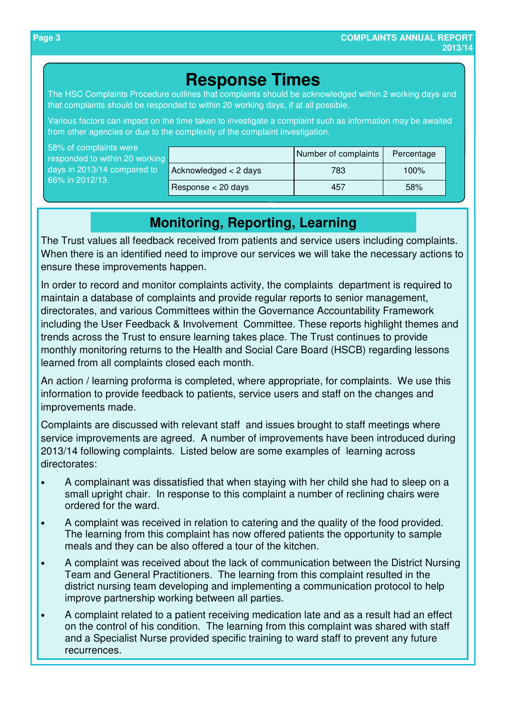### **Response Times**

The HSC Complaints Procedure outlines that complaints should be acknowledged within 2 working days and that complaints should be responded to within 20 working days, if at all possible.

Various factors can impact on the time taken to investigate a complaint such as information may be awaited from other agencies or due to the complexity of the complaint investigation.

| 58% of complaints were<br>responded to within 20 working |                               | Number of complaints | Percentage |
|----------------------------------------------------------|-------------------------------|----------------------|------------|
| days in 2013/14 compared to<br>66% in 2012/13.           | $\vert$ Acknowledged < 2 days | 783                  | 100%       |
|                                                          | Response $<$ 20 days          | 457                  | 58%        |

### **Monitoring, Reporting, Learning**

The Trust values all feedback received from patients and service users including complaints. When there is an identified need to improve our services we will take the necessary actions to ensure these improvements happen.

In order to record and monitor complaints activity, the complaints department is required to maintain a database of complaints and provide regular reports to senior management, directorates, and various Committees within the Governance Accountability Framework including the User Feedback & Involvement Committee. These reports highlight themes and trends across the Trust to ensure learning takes place. The Trust continues to provide monthly monitoring returns to the Health and Social Care Board (HSCB) regarding lessons learned from all complaints closed each month.

An action / learning proforma is completed, where appropriate, for complaints. We use this information to provide feedback to patients, service users and staff on the changes and improvements made.

Complaints are discussed with relevant staff and issues brought to staff meetings where service improvements are agreed. A number of improvements have been introduced during 2013/14 following complaints. Listed below are some examples of learning across directorates:

- A complainant was dissatisfied that when staying with her child she had to sleep on a small upright chair. In response to this complaint a number of reclining chairs were ordered for the ward.
- A complaint was received in relation to catering and the quality of the food provided. The learning from this complaint has now offered patients the opportunity to sample meals and they can be also offered a tour of the kitchen.
- A complaint was received about the lack of communication between the District Nursing Team and General Practitioners. The learning from this complaint resulted in the district nursing team developing and implementing a communication protocol to help improve partnership working between all parties.
- A complaint related to a patient receiving medication late and as a result had an effect on the control of his condition. The learning from this complaint was shared with staff and a Specialist Nurse provided specific training to ward staff to prevent any future recurrences.

66